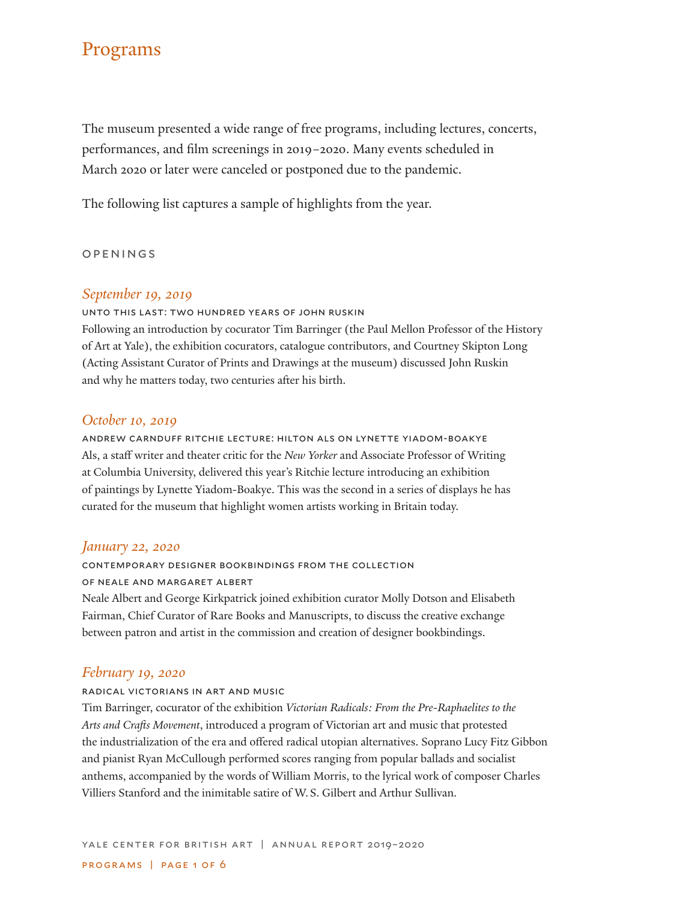# Programs

The museum presented a wide range of free programs, including lectures, concerts, performances, and film screenings in 2019–2020. Many events scheduled in March 2020 or later were canceled or postponed due to the pandemic.

The following list captures a sample of highlights from the year.

#### openings

### *September 19, 2019*

unto this last: two hundred years of john ruskin Following an introduction by cocurator Tim Barringer (the Paul Mellon Professor of the History of Art at Yale), the exhibition cocurators, catalogue contributors, and Courtney Skipton Long (Acting Assistant Curator of Prints and Drawings at the museum) discussed John Ruskin and why he matters today, two centuries after his birth.

### *October 10, 2019*

andrew carnduff ritchie lecture: hilton als on lynette yiadom-boakye Als, a staff writer and theater critic for the *New Yorker* and Associate Professor of Writing at Columbia University, delivered this year's Ritchie lecture introducing an exhibition of paintings by Lynette Yiadom-Boakye. This was the second in a series of displays he has curated for the museum that highlight women artists working in Britain today.

### *January 22, 2020*

contemporary designer bookbindings from the collection

### of neale and margaret albert

Neale Albert and George Kirkpatrick joined exhibition curator Molly Dotson and Elisabeth Fairman, Chief Curator of Rare Books and Manuscripts, to discuss the creative exchange between patron and artist in the commission and creation of designer bookbindings.

### *February 19, 2020*

#### radical victorians in art and music

Tim Barringer, cocurator of the exhibition *Victorian Radicals: From the Pre-Raphaelites to the Arts and Crafts Movement*, introduced a program of Victorian art and music that protested the industrialization of the era and offered radical utopian alternatives. Soprano Lucy Fitz Gibbon and pianist Ryan McCullough performed scores ranging from popular ballads and socialist anthems, accompanied by the words of William Morris, to the lyrical work of composer Charles Villiers Stanford and the inimitable satire of W.S. Gilbert and Arthur Sullivan.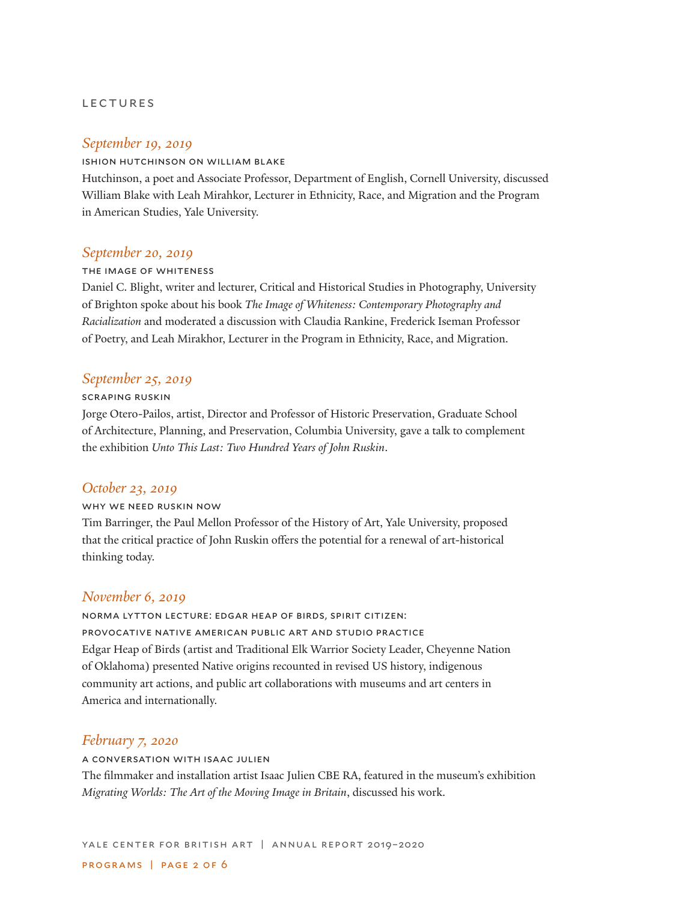#### lectures

### *September 19, 2019*

#### ishion hutchinson on william blake

Hutchinson, a poet and Associate Professor, Department of English, Cornell University, discussed William Blake with Leah Mirahkor, Lecturer in Ethnicity, Race, and Migration and the Program in American Studies, Yale University.

# *September 20, 2019*

#### the image of whiteness

Daniel C. Blight, writer and lecturer, Critical and Historical Studies in Photography, University of Brighton spoke about his book *The Image of Whiteness: Contemporary Photography and Racialization* and moderated a discussion with Claudia Rankine, Frederick Iseman Professor of Poetry, and Leah Mirakhor, Lecturer in the Program in Ethnicity, Race, and Migration.

### *September 25, 2019*

#### scraping ruskin

Jorge Otero-Pailos, artist, Director and Professor of Historic Preservation, Graduate School of Architecture, Planning, and Preservation, Columbia University, gave a talk to complement the exhibition *Unto This Last: Two Hundred Years of John Ruskin*.

# *October 23, 2019*

### why we need ruskin now

Tim Barringer, the Paul Mellon Professor of the History of Art, Yale University, proposed that the critical practice of John Ruskin offers the potential for a renewal of art-historical thinking today.

### *November 6, 2019*

norma lytton lecture: edgar heap of birds, spirit citizen: provocative native american public art and studio practice Edgar Heap of Birds (artist and Traditional Elk Warrior Society Leader, Cheyenne Nation of Oklahoma) presented Native origins recounted in revised US history, indigenous community art actions, and public art collaborations with museums and art centers in America and internationally.

# *February 7, 2020*

a conversation with isaac julien The filmmaker and installation artist Isaac Julien CBE RA, featured in the museum's exhibition *Migrating Worlds: The Art of the Moving Image in Britain*, discussed his work.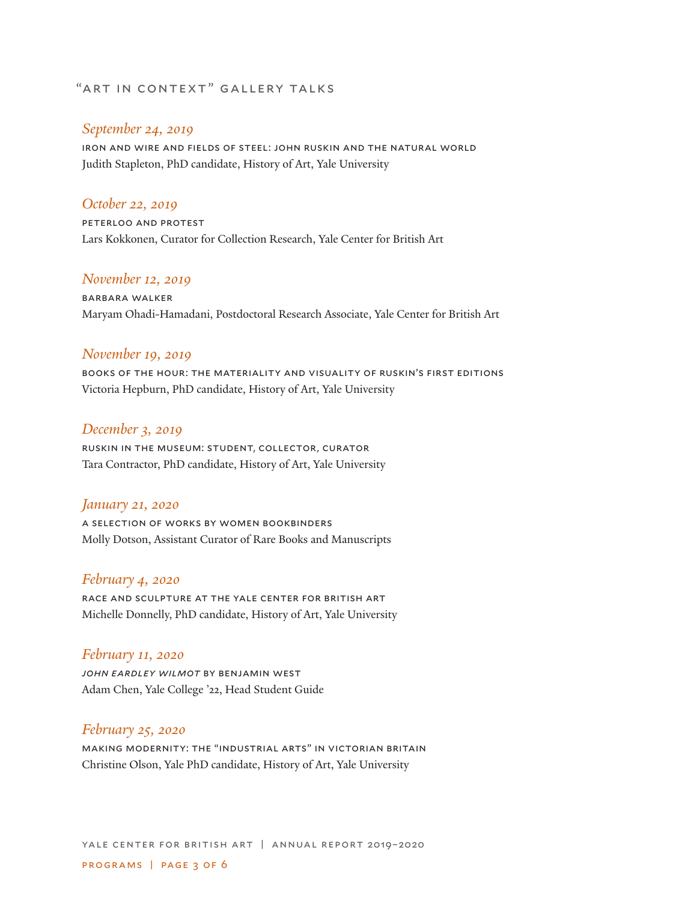# "ART IN CONTEXT" GALLERY TALKS

### *September 24, 2019*

iron and wire and fields of steel: john ruskin and the natural world Judith Stapleton, PhD candidate, History of Art, Yale University

# *October 22, 2019*

peterloo and protest Lars Kokkonen, Curator for Collection Research, Yale Center for British Art

# *November 12, 2019*

barbara walker Maryam Ohadi-Hamadani, Postdoctoral Research Associate, Yale Center for British Art

### *November 19, 2019*

books of the hour: the materiality and visuality of ruskin's first editions Victoria Hepburn, PhD candidate, History of Art, Yale University

### *December 3, 2019*

ruskin in the museum: student, collector, curator Tara Contractor, PhD candidate, History of Art, Yale University

#### *January 21, 2020*

a selection of works by women bookbinders Molly Dotson, Assistant Curator of Rare Books and Manuscripts

# *February 4, 2020*

race and sculpture at the yale center for british art Michelle Donnelly, PhD candidate, History of Art, Yale University

### *February 11, 2020*

*john eardley wilmot* by benjamin west Adam Chen, Yale College '22, Head Student Guide

# *February 25, 2020*

making modernity: the "industrial arts" in victorian britain Christine Olson, Yale PhD candidate, History of Art, Yale University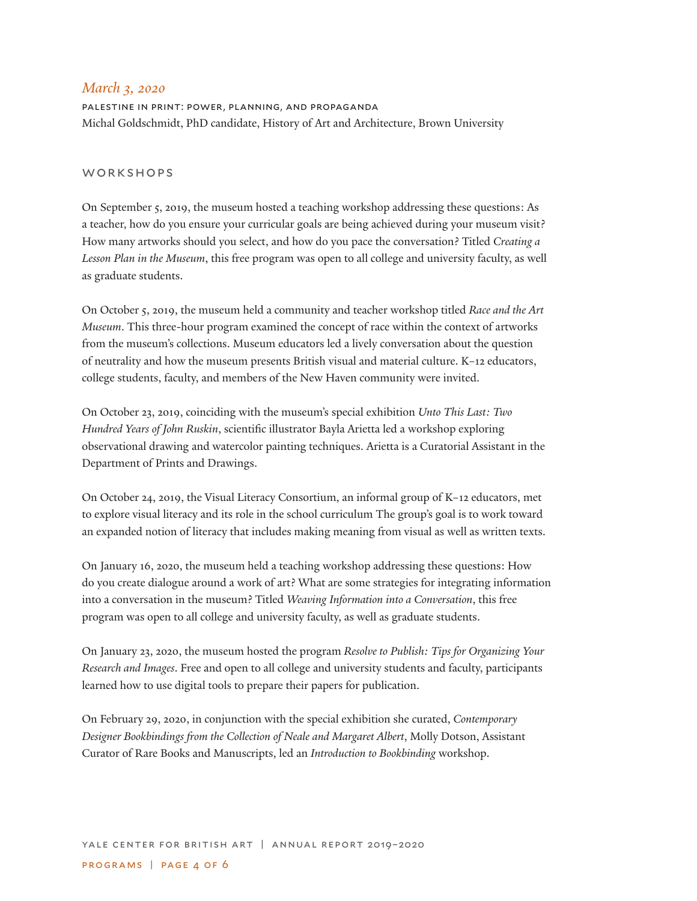### *March 3, 2020*

palestine in print: power, planning, and propaganda Michal Goldschmidt, PhD candidate, History of Art and Architecture, Brown University

#### workshops

On September 5, 2019, the museum hosted a teaching workshop addressing these questions: As a teacher, how do you ensure your curricular goals are being achieved during your museum visit? How many artworks should you select, and how do you pace the conversation? Titled *Creating a Lesson Plan in the Museum*, this free program was open to all college and university faculty, as well as graduate students.

On October 5, 2019, the museum held a community and teacher workshop titled *Race and the Art Museum*. This three-hour program examined the concept of race within the context of artworks from the museum's collections. Museum educators led a lively conversation about the question of neutrality and how the museum presents British visual and material culture. K–12 educators, college students, faculty, and members of the New Haven community were invited.

On October 23, 2019, coinciding with the museum's special exhibition *Unto This Last: Two Hundred Years of John Ruskin*, scientific illustrator Bayla Arietta led a workshop exploring observational drawing and watercolor painting techniques. Arietta is a Curatorial Assistant in the Department of Prints and Drawings.

On October 24, 2019, the Visual Literacy Consortium, an informal group of K–12 educators, met to explore visual literacy and its role in the school curriculum The group's goal is to work toward an expanded notion of literacy that includes making meaning from visual as well as written texts.

On January 16, 2020, the museum held a teaching workshop addressing these questions: How do you create dialogue around a work of art? What are some strategies for integrating information into a conversation in the museum? Titled *Weaving Information into a Conversation*, this free program was open to all college and university faculty, as well as graduate students.

On January 23, 2020, the museum hosted the program *Resolve to Publish: Tips for Organizing Your Research and Images*. Free and open to all college and university students and faculty, participants learned how to use digital tools to prepare their papers for publication.

On February 29, 2020, in conjunction with the special exhibition she curated, *Contemporary Designer Bookbindings from the Collection of Neale and Margaret Albert*, Molly Dotson, Assistant Curator of Rare Books and Manuscripts, led an *Introduction to Bookbinding* workshop.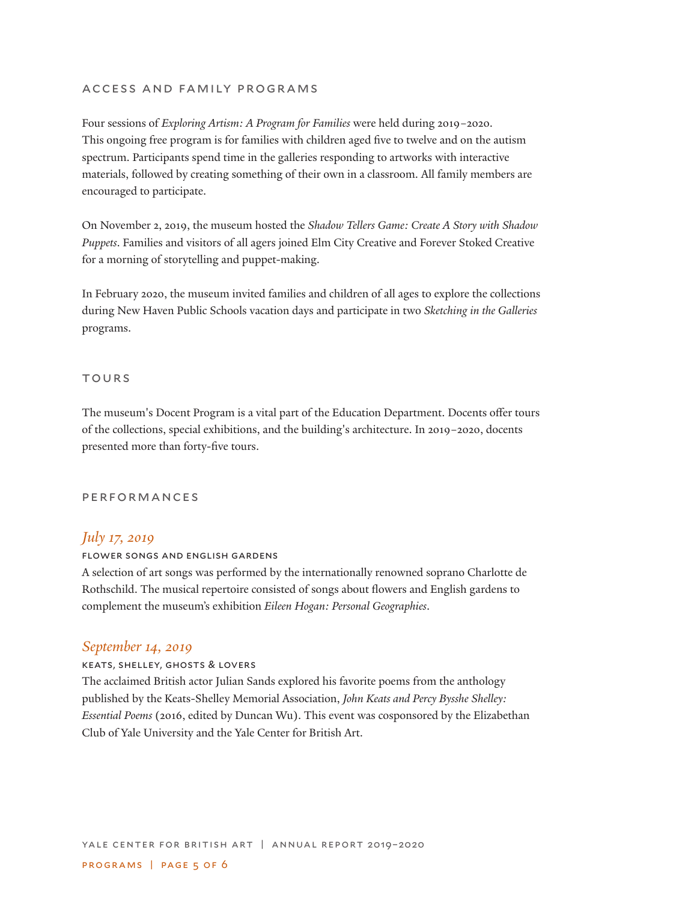# access and family programs

Four sessions of *Exploring Artism: A Program for Families* were held during 2019–2020. This ongoing free program is for families with children aged five to twelve and on the autism spectrum. Participants spend time in the galleries responding to artworks with interactive materials, followed by creating something of their own in a classroom. All family members are encouraged to participate.

On November 2, 2019, the museum hosted the *Shadow Tellers Game: Create A Story with Shadow Puppets*. Families and visitors of all agers joined Elm City Creative and Forever Stoked Creative for a morning of storytelling and puppet-making.

In February 2020, the museum invited families and children of all ages to explore the collections during New Haven Public Schools vacation days and participate in two *Sketching in the Galleries* programs.

#### **TOURS**

The museum's Docent Program is a vital part of the Education Department. Docents offer tours of the collections, special exhibitions, and the building's architecture. In 2019–2020, docents presented more than forty-five tours.

#### performances

### *July 17, 2019*

#### flower songs and english gardens

A selection of art songs was performed by the internationally renowned soprano Charlotte de Rothschild. The musical repertoire consisted of songs about flowers and English gardens to complement the museum's exhibition *Eileen Hogan: Personal Geographies*.

### *September 14, 2019*

#### keats, shelley, ghosts & lovers

The acclaimed British actor Julian Sands explored his favorite poems from the anthology published by the Keats-Shelley Memorial Association, *John Keats and Percy Bysshe Shelley: Essential Poems* (2016, edited by Duncan Wu). This event was cosponsored by the Elizabethan Club of Yale University and the Yale Center for British Art.